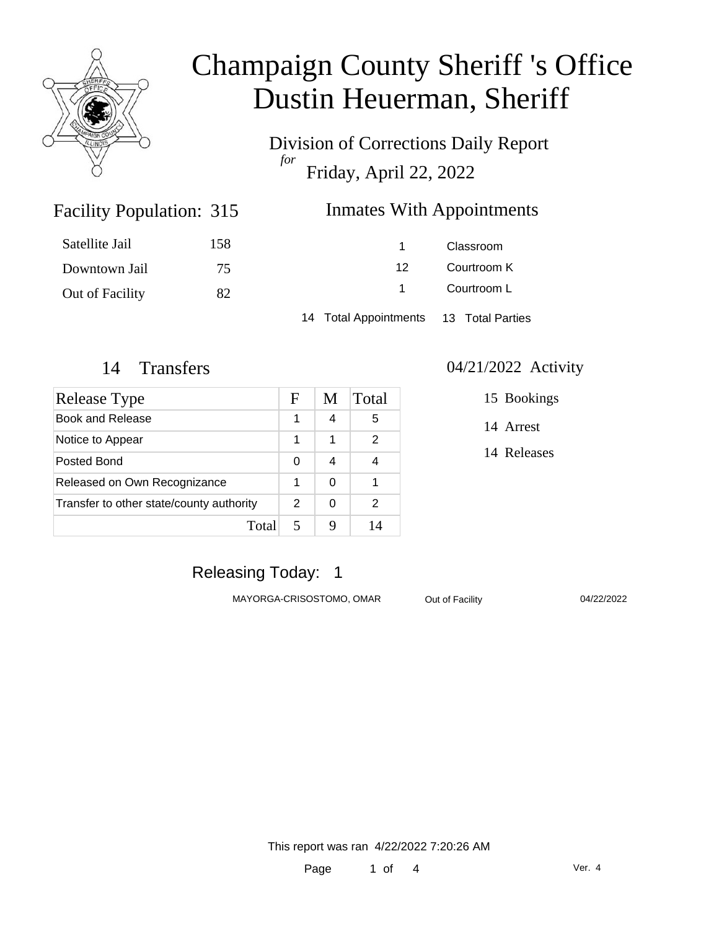

Division of Corrections Daily Report *for* Friday, April 22, 2022

### Inmates With Appointments

| Satellite Jail  | 158 |                                        | Classroom   |  |
|-----------------|-----|----------------------------------------|-------------|--|
| Downtown Jail   | 75  | 12                                     | Courtroom K |  |
| Out of Facility | 82  |                                        | Courtroom L |  |
|                 |     | 14 Total Appointments 13 Total Parties |             |  |

Facility Population: 315

| Release Type                             |  | M | Total |
|------------------------------------------|--|---|-------|
| Book and Release                         |  | 4 | 5     |
| Notice to Appear                         |  | 1 | 2     |
| Posted Bond                              |  | 4 |       |
| Released on Own Recognizance             |  | ∩ |       |
| Transfer to other state/county authority |  | 0 | 2     |
| Total                                    |  |   | 14    |

#### 14 Transfers 04/21/2022 Activity

15 Bookings

14 Arrest

14 Releases

### Releasing Today: 1

MAYORGA-CRISOSTOMO, OMAR Out of Facility 04/22/2022

This report was ran 4/22/2022 7:20:26 AM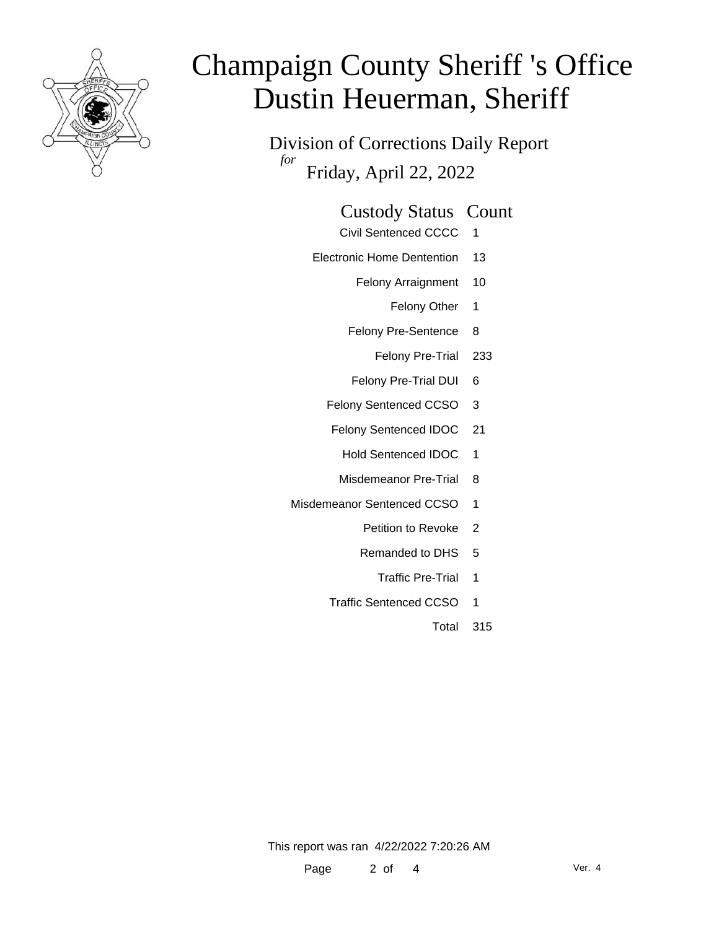

Division of Corrections Daily Report *for* Friday, April 22, 2022

| <b>Custody Status Count</b> |  |
|-----------------------------|--|
|-----------------------------|--|

- Civil Sentenced CCCC 1
- Electronic Home Dentention 13
	- Felony Arraignment 10
		- Felony Other 1
	- Felony Pre-Sentence 8
		- Felony Pre-Trial 233
	- Felony Pre-Trial DUI 6
	- Felony Sentenced CCSO 3
	- Felony Sentenced IDOC 21
		- Hold Sentenced IDOC 1
		- Misdemeanor Pre-Trial 8
- Misdemeanor Sentenced CCSO 1
	- Petition to Revoke 2
	- Remanded to DHS 5
		- Traffic Pre-Trial 1
	- Traffic Sentenced CCSO 1
		- Total 315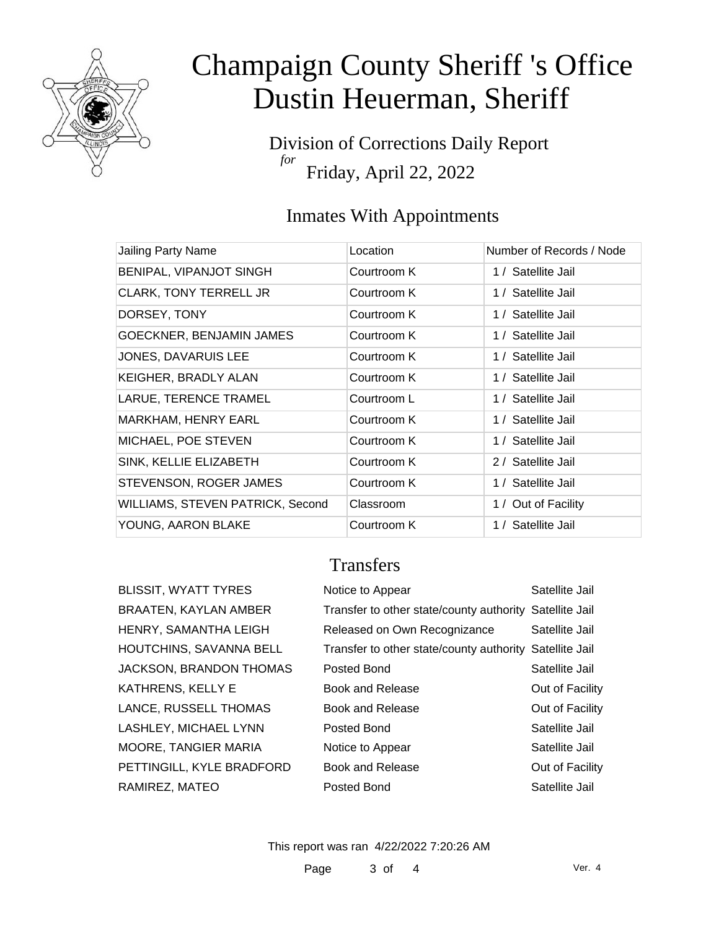

Division of Corrections Daily Report *for* Friday, April 22, 2022

### Inmates With Appointments

| Jailing Party Name               | Location    | Number of Records / Node |
|----------------------------------|-------------|--------------------------|
| BENIPAL, VIPANJOT SINGH          | Courtroom K | 1 / Satellite Jail       |
| CLARK, TONY TERRELL JR           | Courtroom K | 1 / Satellite Jail       |
| DORSEY, TONY                     | Courtroom K | 1 / Satellite Jail       |
| GOECKNER, BENJAMIN JAMES         | Courtroom K | 1 / Satellite Jail       |
| JONES, DAVARUIS LEE              | Courtroom K | 1 / Satellite Jail       |
| KEIGHER, BRADLY ALAN             | Courtroom K | 1 / Satellite Jail       |
| LARUE, TERENCE TRAMEL            | Courtroom L | 1 / Satellite Jail       |
| MARKHAM, HENRY EARL              | Courtroom K | 1 / Satellite Jail       |
| MICHAEL, POE STEVEN              | Courtroom K | 1 / Satellite Jail       |
| SINK, KELLIE ELIZABETH           | Courtroom K | 2 / Satellite Jail       |
| STEVENSON, ROGER JAMES           | Courtroom K | 1 / Satellite Jail       |
| WILLIAMS, STEVEN PATRICK, Second | Classroom   | 1 / Out of Facility      |
| YOUNG, AARON BLAKE               | Courtroom K | 1 / Satellite Jail       |

Transfers

BLISSIT, WYATT TYRES BRAATEN, KAYLAN AMBER HENRY, SAMANTHA LEIGH HOUTCHINS, SAVANNA BELL JACKSON, BRANDON THOMAS

KATHRENS, KELLY E

RAMIREZ, MATEO

LANCE, RUSSELL THOMAS LASHLEY, MICHAEL LYNN MOORE, TANGIER MARIA

PETTINGILL, KYLE BRADFORD

| Notice to Appear                                        | Satellite Jail  |
|---------------------------------------------------------|-----------------|
| Transfer to other state/county authority Satellite Jail |                 |
| Released on Own Recognizance                            | Satellite Jail  |
| Transfer to other state/county authority Satellite Jail |                 |
| Posted Bond                                             | Satellite Jail  |
| <b>Book and Release</b>                                 | Out of Facility |
| <b>Book and Release</b>                                 | Out of Facility |
| Posted Bond                                             | Satellite Jail  |
| Notice to Appear                                        | Satellite Jail  |
| <b>Book and Release</b>                                 | Out of Facility |
| Posted Bond                                             | Satellite Jail  |

This report was ran 4/22/2022 7:20:26 AM